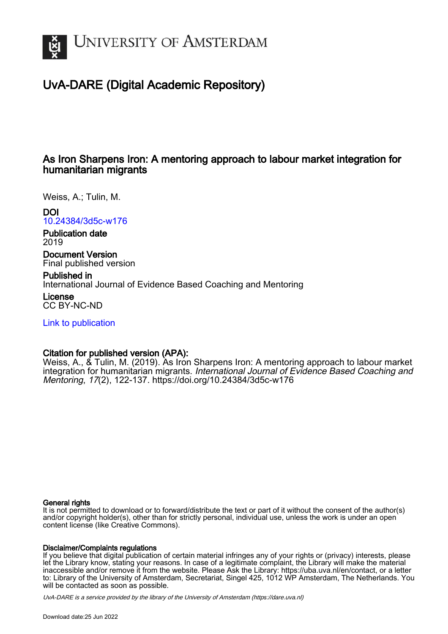

## UvA-DARE (Digital Academic Repository)

#### As Iron Sharpens Iron: A mentoring approach to labour market integration for humanitarian migrants

Weiss, A.; Tulin, M.

#### DOI

[10.24384/3d5c-w176](https://doi.org/10.24384/3d5c-w176)

Publication date 2019

Document Version Final published version

Published in International Journal of Evidence Based Coaching and Mentoring

License CC BY-NC-ND

[Link to publication](https://dare.uva.nl/personal/pure/en/publications/as-iron-sharpens-iron-a-mentoring-approach-to-labour-market-integration-for-humanitarian-migrants(bff8376a-cc07-482e-a107-d58f4786d991).html)

#### Citation for published version (APA):

Weiss, A., & Tulin, M. (2019). As Iron Sharpens Iron: A mentoring approach to labour market integration for humanitarian migrants. International Journal of Evidence Based Coaching and Mentoring, 17(2), 122-137.<https://doi.org/10.24384/3d5c-w176>

#### General rights

It is not permitted to download or to forward/distribute the text or part of it without the consent of the author(s) and/or copyright holder(s), other than for strictly personal, individual use, unless the work is under an open content license (like Creative Commons).

#### Disclaimer/Complaints regulations

If you believe that digital publication of certain material infringes any of your rights or (privacy) interests, please let the Library know, stating your reasons. In case of a legitimate complaint, the Library will make the material inaccessible and/or remove it from the website. Please Ask the Library: https://uba.uva.nl/en/contact, or a letter to: Library of the University of Amsterdam, Secretariat, Singel 425, 1012 WP Amsterdam, The Netherlands. You will be contacted as soon as possible.

UvA-DARE is a service provided by the library of the University of Amsterdam (http*s*://dare.uva.nl)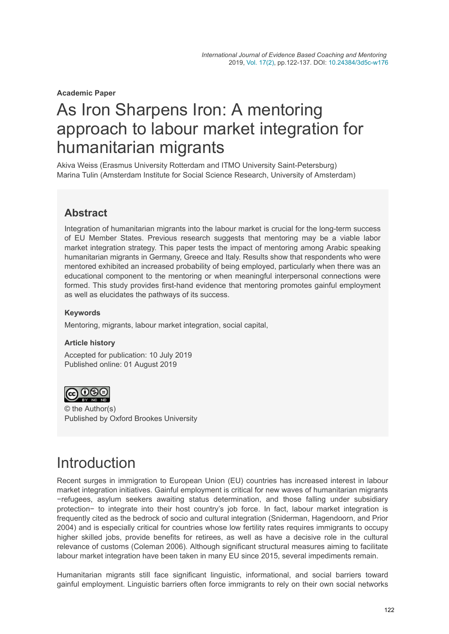**Academic Paper**

# As Iron Sharpens Iron: A mentoring approach to labour market integration for humanitarian migrants

Akiva Weiss (Erasmus University Rotterdam and ITMO University Saint-Petersburg) Marina Tulin (Amsterdam Institute for Social Science Research, University of Amsterdam)

### **Abstract**

Integration of humanitarian migrants into the labour market is crucial for the long-term success of EU Member States. Previous research suggests that mentoring may be a viable labor market integration strategy. This paper tests the impact of mentoring among Arabic speaking humanitarian migrants in Germany, Greece and Italy. Results show that respondents who were mentored exhibited an increased probability of being employed, particularly when there was an educational component to the mentoring or when meaningful interpersonal connections were formed. This study provides first-hand evidence that mentoring promotes gainful employment as well as elucidates the pathways of its success.

#### **Keywords**

Mentoring, migrants, labour market integration, social capital,

#### **Article history**

Accepted for publication: 10 July 2019 Published online: 01 August 2019



© the Author(s) Published by Oxford Brookes University

# **Introduction**

Recent surges in immigration to European Union (EU) countries has increased interest in labour market integration initiatives. Gainful employment is critical for new waves of humanitarian migrants −refugees, asylum seekers awaiting status determination, and those falling under subsidiary protection− to integrate into their host country's job force. In fact, labour market integration is frequently cited as the bedrock of socio and cultural integration (Sniderman, Hagendoorn, and Prior 2004) and is especially critical for countries whose low fertility rates requires immigrants to occupy higher skilled jobs, provide benefits for retirees, as well as have a decisive role in the cultural relevance of customs (Coleman 2006). Although significant structural measures aiming to facilitate labour market integration have been taken in many EU since 2015, several impediments remain.

Humanitarian migrants still face significant linguistic, informational, and social barriers toward gainful employment. Linguistic barriers often force immigrants to rely on their own social networks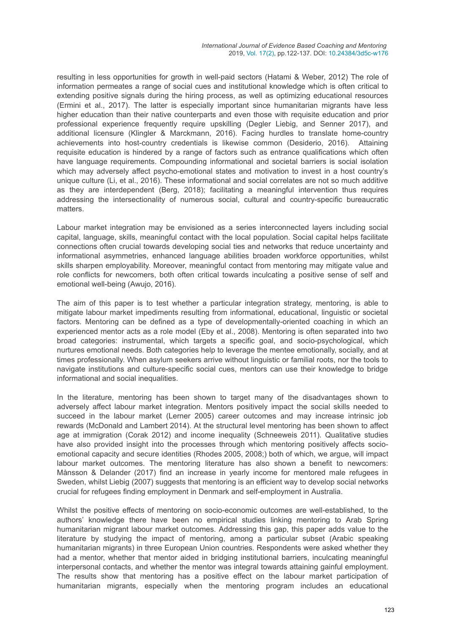resulting in less opportunities for growth in well-paid sectors (Hatami & Weber, 2012) The role of information permeates a range of social cues and institutional knowledge which is often critical to extending positive signals during the hiring process, as well as optimizing educational resources (Ermini et al., 2017). The latter is especially important since humanitarian migrants have less higher education than their native counterparts and even those with requisite education and prior professional experience frequently require upskilling (Degler Liebig, and Senner 2017), and additional licensure (Klingler & Marckmann, 2016). Facing hurdles to translate home-country achievements into host-country credentials is likewise common (Desiderio, 2016). Attaining requisite education is hindered by a range of factors such as entrance qualifications which often have language requirements. Compounding informational and societal barriers is social isolation which may adversely affect psycho-emotional states and motivation to invest in a host country's unique culture (Li, et al., 2016). These informational and social correlates are not so much additive as they are interdependent (Berg, 2018); facilitating a meaningful intervention thus requires addressing the intersectionality of numerous social, cultural and country-specific bureaucratic matters.

Labour market integration may be envisioned as a series interconnected layers including social capital, language, skills, meaningful contact with the local population. Social capital helps facilitate connections often crucial towards developing social ties and networks that reduce uncertainty and informational asymmetries, enhanced language abilities broaden workforce opportunities, whilst skills sharpen employability. Moreover, meaningful contact from mentoring may mitigate value and role conflicts for newcomers, both often critical towards inculcating a positive sense of self and emotional well-being (Awujo, 2016).

The aim of this paper is to test whether a particular integration strategy, mentoring, is able to mitigate labour market impediments resulting from informational, educational, linguistic or societal factors. Mentoring can be defined as a type of developmentally-oriented coaching in which an experienced mentor acts as a role model (Eby et al., 2008). Mentoring is often separated into two broad categories: instrumental, which targets a specific goal, and socio-psychological, which nurtures emotional needs. Both categories help to leverage the mentee emotionally, socially, and at times professionally. When asylum seekers arrive without linguistic or familial roots, nor the tools to navigate institutions and culture-specific social cues, mentors can use their knowledge to bridge informational and social inequalities.

In the literature, mentoring has been shown to target many of the disadvantages shown to adversely affect labour market integration. Mentors positively impact the social skills needed to succeed in the labour market (Lerner 2005) career outcomes and may increase intrinsic job rewards (McDonald and Lambert 2014). At the structural level mentoring has been shown to affect age at immigration (Corak 2012) and income inequality (Schneeweis 2011). Qualitative studies have also provided insight into the processes through which mentoring positively affects socioemotional capacity and secure identities (Rhodes 2005, 2008;) both of which, we argue, will impact labour market outcomes. The mentoring literature has also shown a benefit to newcomers: Månsson & Delander (2017) find an increase in yearly income for mentored male refugees in Sweden, whilst Liebig (2007) suggests that mentoring is an efficient way to develop social networks crucial for refugees finding employment in Denmark and self-employment in Australia.

Whilst the positive effects of mentoring on socio-economic outcomes are well-established, to the authors' knowledge there have been no empirical studies linking mentoring to Arab Spring humanitarian migrant labour market outcomes. Addressing this gap, this paper adds value to the literature by studying the impact of mentoring, among a particular subset (Arabic speaking humanitarian migrants) in three European Union countries. Respondents were asked whether they had a mentor, whether that mentor aided in bridging institutional barriers, inculcating meaningful interpersonal contacts, and whether the mentor was integral towards attaining gainful employment. The results show that mentoring has a positive effect on the labour market participation of humanitarian migrants, especially when the mentoring program includes an educational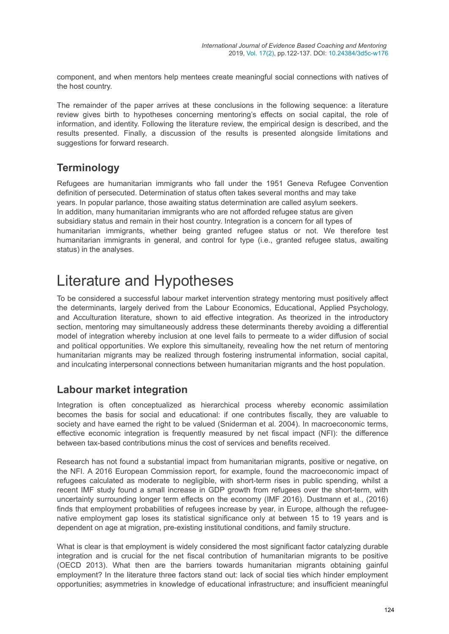component, and when mentors help mentees create meaningful social connections with natives of the host country.

The remainder of the paper arrives at these conclusions in the following sequence: a literature review gives birth to hypotheses concerning mentoring's effects on social capital, the role of information, and identity. Following the literature review, the empirical design is described, and the results presented. Finally, a discussion of the results is presented alongside limitations and suggestions for forward research.

### **Terminology**

Refugees are humanitarian immigrants who fall under the 1951 Geneva Refugee Convention definition of persecuted. Determination of status often takes several months and may take years. In popular parlance, those awaiting status determination are called asylum seekers. In addition, many humanitarian immigrants who are not afforded refugee status are given subsidiary status and remain in their host country. Integration is a concern for all types of humanitarian immigrants, whether being granted refugee status or not. We therefore test humanitarian immigrants in general, and control for type (i.e., granted refugee status, awaiting status) in the analyses.

## Literature and Hypotheses

To be considered a successful labour market intervention strategy mentoring must positively affect the determinants, largely derived from the Labour Economics, Educational, Applied Psychology, and Acculturation literature, shown to aid effective integration. As theorized in the introductory section, mentoring may simultaneously address these determinants thereby avoiding a differential model of integration whereby inclusion at one level fails to permeate to a wider diffusion of social and political opportunities. We explore this simultaneity, revealing how the net return of mentoring humanitarian migrants may be realized through fostering instrumental information, social capital, and inculcating interpersonal connections between humanitarian migrants and the host population.

#### **Labour market integration**

Integration is often conceptualized as hierarchical process whereby economic assimilation becomes the basis for social and educational: if one contributes fiscally, they are valuable to society and have earned the right to be valued (Sniderman et al. 2004). In macroeconomic terms, effective economic integration is frequently measured by net fiscal impact (NFI): the difference between tax-based contributions minus the cost of services and benefits received.

Research has not found a substantial impact from humanitarian migrants, positive or negative, on the NFI. A 2016 European Commission report, for example, found the macroeconomic impact of refugees calculated as moderate to negligible, with short-term rises in public spending, whilst a recent IMF study found a small increase in GDP growth from refugees over the short-term, with uncertainty surrounding longer term effects on the economy (IMF 2016). Dustmann et al., (2016) finds that employment probabilities of refugees increase by year, in Europe, although the refugeenative employment gap loses its statistical significance only at between 15 to 19 years and is dependent on age at migration, pre-existing institutional conditions, and family structure.

What is clear is that employment is widely considered the most significant factor catalyzing durable integration and is crucial for the net fiscal contribution of humanitarian migrants to be positive (OECD 2013). What then are the barriers towards humanitarian migrants obtaining gainful employment? In the literature three factors stand out: lack of social ties which hinder employment opportunities; asymmetries in knowledge of educational infrastructure; and insufficient meaningful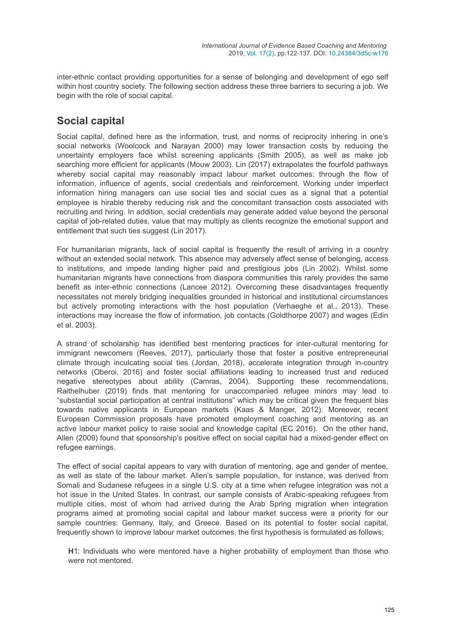inter-ethnic contact providing opportunities for a sense of belonging and development of ego self within host country society. The following section address these three barriers to securing a job. We begin with the role of social capital.

### **Social capital**

Social capital, defined here as the information, trust, and norms of reciprocity inhering in one's social networks (Woolcock and Narayan 2000) may lower transaction costs by reducing the uncertainty employers face whilst screening applicants (Smith 2005), as well as make job searching more efficient for applicants (Mouw 2003). Lin (2017) extrapolates the fourfold pathways whereby social capital may reasonably impact labour market outcomes: through the flow of information, influence of agents, social credentials and reinforcement. Working under imperfect information hiring managers can use social ties and social cues as a signal that a potential employee is hirable thereby reducing risk and the concomitant transaction costs associated with recruiting and hiring. In addition, social credentials may generate added value beyond the personal capital of job-related duties, value that may multiply as clients recognize the emotional support and entitlement that such ties suggest (Lin 2017).

For humanitarian migrants, lack of social capital is frequently the result of arriving in a country without an extended social network. This absence may adversely affect sense of belonging, access to institutions, and impede landing higher paid and prestigious jobs (Lin 2002). Whilst some humanitarian migrants have connections from diaspora communities this rarely provides the same benefit as inter-ethnic connections (Lancee 2012). Overcoming these disadvantages frequently necessitates not merely bridging inequalities grounded in historical and institutional circumstances but actively promoting interactions with the host population (Verhaeghe et al., 2013). These interactions may increase the flow of information, job contacts (Goldthorpe 2007) and wages (Edin et al. 2003).

A strand of scholarship has identified best mentoring practices for inter-cultural mentoring for immigrant newcomers (Reeves, 2017), particularly those that foster a positive entrepreneurial climate through inculcating social ties (Jordan, 2018), accelerate integration through in-country networks (Oberoi, 2016) and foster social affiliations leading to increased trust and reduced negative stereotypes about ability (Camras, 2004). Supporting these recommendations, Raithelhuber (2019) finds that mentoring for unaccompanied refugee minors may lead to "substantial social participation at central institutions" which may be critical given the frequent bias towards native applicants in European markets (Kaas & Manger, 2012). Moreover, recent European Commission proposals have promoted employment coaching and mentoring as an active labour market policy to raise social and knowledge capital (EC 2016). On the other hand, Allen (2009) found that sponsorship's positive effect on social capital had a mixed-gender effect on refugee earnings.

The effect of social capital appears to vary with duration of mentoring, age and gender of mentee, as well as state of the labour market. Allen's sample population, for instance, was derived from Somali and Sudanese refugees in a single U.S. city at a time when refugee integration was not a hot issue in the United States. In contrast, our sample consists of Arabic-speaking refugees from multiple cities, most of whom had arrived during the Arab Spring migration when integration programs aimed at promoting social capital and labour market success were a priority for our sample countries: Germany, Italy, and Greece. Based on its potential to foster social capital, frequently shown to improve labour market outcomes, the first hypothesis is formulated as follows:

**H**1: Individuals who were mentored have a higher probability of employment than those who were not mentored.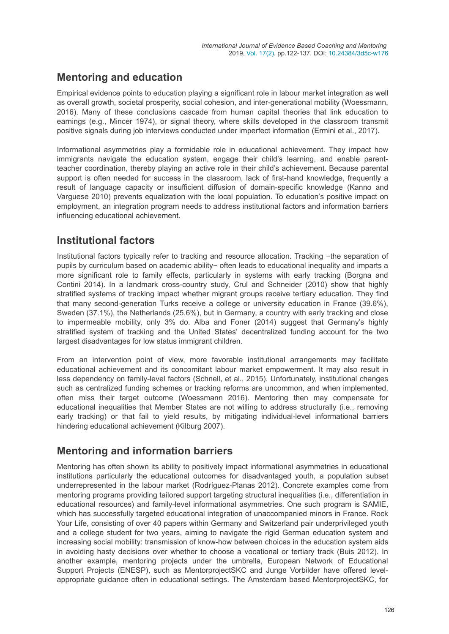### **Mentoring and education**

Empirical evidence points to education playing a significant role in labour market integration as well as overall growth, societal prosperity, social cohesion, and inter-generational mobility (Woessmann, 2016). Many of these conclusions cascade from human capital theories that link education to earnings (e.g., Mincer 1974), or signal theory, where skills developed in the classroom transmit positive signals during job interviews conducted under imperfect information (Ermini et al., 2017).

Informational asymmetries play a formidable role in educational achievement. They impact how immigrants navigate the education system, engage their child's learning, and enable parentteacher coordination, thereby playing an active role in their child's achievement. Because parental support is often needed for success in the classroom, lack of first-hand knowledge, frequently a result of language capacity or insufficient diffusion of domain-specific knowledge (Kanno and Varguese 2010) prevents equalization with the local population. To education's positive impact on employment, an integration program needs to address institutional factors and information barriers influencing educational achievement.

### **Institutional factors**

Institutional factors typically refer to tracking and resource allocation. Tracking −the separation of pupils by curriculum based on academic ability− often leads to educational inequality and imparts a more significant role to family effects, particularly in systems with early tracking (Borgna and Contini 2014). In a landmark cross-country study, Crul and Schneider (2010) show that highly stratified systems of tracking impact whether migrant groups receive tertiary education. They find that many second-generation Turks receive a college or university education in France (39.6%), Sweden (37.1%), the Netherlands (25.6%), but in Germany, a country with early tracking and close to impermeable mobility, only 3% do. Alba and Foner (2014) suggest that Germany's highly stratified system of tracking and the United States' decentralized funding account for the two largest disadvantages for low status immigrant children.

From an intervention point of view, more favorable institutional arrangements may facilitate educational achievement and its concomitant labour market empowerment. It may also result in less dependency on family-level factors (Schnell, et al., 2015). Unfortunately, institutional changes such as centralized funding schemes or tracking reforms are uncommon, and when implemented, often miss their target outcome (Woessmann 2016). Mentoring then may compensate for educational inequalities that Member States are not willing to address structurally (i.e., removing early tracking) or that fail to yield results, by mitigating individual-level informational barriers hindering educational achievement (Kilburg 2007).

### **Mentoring and information barriers**

Mentoring has often shown its ability to positively impact informational asymmetries in educational institutions particularly the educational outcomes for disadvantaged youth, a population subset underrepresented in the labour market (Rodríguez-Planas 2012). Concrete examples come from mentoring programs providing tailored support targeting structural inequalities (i.e., differentiation in educational resources) and family-level informational asymmetries. One such program is SAMIE, which has successfully targeted educational integration of unaccompanied minors in France. Rock Your Life, consisting of over 40 papers within Germany and Switzerland pair underprivileged youth and a college student for two years, aiming to navigate the rigid German education system and increasing social mobility: transmission of know-how between choices in the education system aids in avoiding hasty decisions over whether to choose a vocational or tertiary track (Buis 2012). In another example, mentoring projects under the umbrella, European Network of Educational Support Projects (ENESP), such as MentorprojectSKC and Junge Vorbilder have offered levelappropriate guidance often in educational settings. The Amsterdam based MentorprojectSKC, for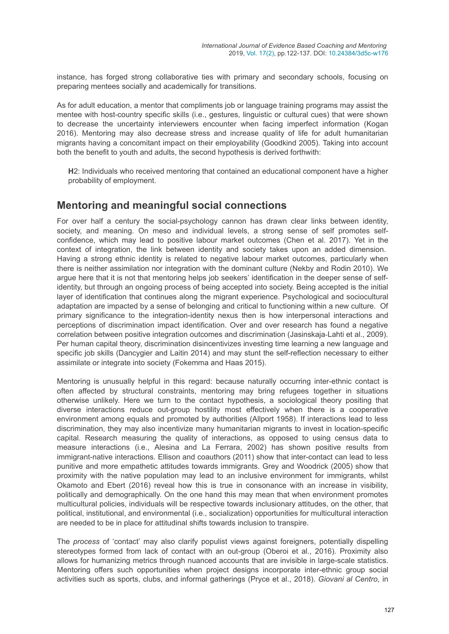instance, has forged strong collaborative ties with primary and secondary schools, focusing on preparing mentees socially and academically for transitions.

As for adult education, a mentor that compliments job or language training programs may assist the mentee with host-country specific skills (i.e., gestures, linguistic or cultural cues) that were shown to decrease the uncertainty interviewers encounter when facing imperfect information (Kogan 2016). Mentoring may also decrease stress and increase quality of life for adult humanitarian migrants having a concomitant impact on their employability (Goodkind 2005). Taking into account both the benefit to youth and adults, the second hypothesis is derived forthwith:

**H**2: Individuals who received mentoring that contained an educational component have a higher probability of employment.

#### **Mentoring and meaningful social connections**

For over half a century the social-psychology cannon has drawn clear links between identity, society, and meaning. On meso and individual levels, a strong sense of self promotes selfconfidence, which may lead to positive labour market outcomes (Chen et al. 2017). Yet in the context of integration, the link between identity and society takes upon an added dimension. Having a strong ethnic identity is related to negative labour market outcomes, particularly when there is neither assimilation nor integration with the dominant culture (Nekby and Rodin 2010). We argue here that it is not that mentoring helps job seekers' identification in the deeper sense of selfidentity, but through an ongoing process of being accepted into society. Being accepted is the initial layer of identification that continues along the migrant experience. Psychological and sociocultural adaptation are impacted by a sense of belonging and critical to functioning within a new culture. Of primary significance to the integration-identity nexus then is how interpersonal interactions and perceptions of discrimination impact identification. Over and over research has found a negative correlation between positive integration outcomes and discrimination (Jasinskaja‐Lahti et al., 2009). Per human capital theory, discrimination disincentivizes investing time learning a new language and specific job skills (Dancygier and Laitin 2014) and may stunt the self-reflection necessary to either assimilate or integrate into society (Fokemma and Haas 2015).

Mentoring is unusually helpful in this regard: because naturally occurring inter-ethnic contact is often affected by structural constraints, mentoring may bring refugees together in situations otherwise unlikely. Here we turn to the contact hypothesis, a sociological theory positing that diverse interactions reduce out-group hostility most effectively when there is a cooperative environment among equals and promoted by authorities (Allport 1958). If interactions lead to less discrimination, they may also incentivize many humanitarian migrants to invest in location-specific capital. Research measuring the quality of interactions, as opposed to using census data to measure interactions (i.e., Alesina and La Ferrara, 2002) has shown positive results from immigrant-native interactions. Ellison and coauthors (2011) show that inter-contact can lead to less punitive and more empathetic attitudes towards immigrants. Grey and Woodrick (2005) show that proximity with the native population may lead to an inclusive environment for immigrants, whilst Okamoto and Ebert (2016) reveal how this is true in consonance with an increase in visibility, politically and demographically. On the one hand this may mean that when environment promotes multicultural policies, individuals will be respective towards inclusionary attitudes, on the other, that political, institutional, and environmental (i.e., socialization) opportunities for multicultural interaction are needed to be in place for attitudinal shifts towards inclusion to transpire.

The *process* of 'contact' may also clarify populist views against foreigners, potentially dispelling stereotypes formed from lack of contact with an out-group (Oberoi et al., 2016). Proximity also allows for humanizing metrics through nuanced accounts that are invisible in large-scale statistics. Mentoring offers such opportunities when project designs incorporate inter-ethnic group social activities such as sports, clubs, and informal gatherings (Pryce et al., 2018). *Giovani al Centro*, in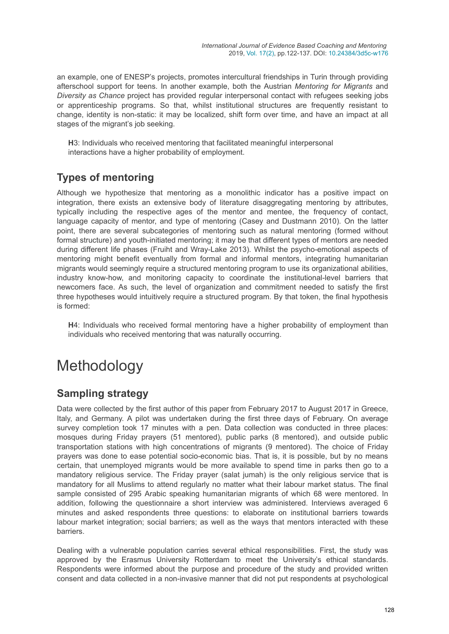an example, one of ENESP's projects, promotes intercultural friendships in Turin through providing afterschool support for teens. In another example, both the Austrian *Mentoring for Migrants* and *Diversity as Chance* project has provided regular interpersonal contact with refugees seeking jobs or apprenticeship programs. So that, whilst institutional structures are frequently resistant to change, identity is non-static: it may be localized, shift form over time, and have an impact at all stages of the migrant's job seeking.

**H**3: Individuals who received mentoring that facilitated meaningful interpersonal interactions have a higher probability of employment.

### **Types of mentoring**

Although we hypothesize that mentoring as a monolithic indicator has a positive impact on integration, there exists an extensive body of literature disaggregating mentoring by attributes, typically including the respective ages of the mentor and mentee, the frequency of contact, language capacity of mentor, and type of mentoring (Casey and Dustmann 2010). On the latter point, there are several subcategories of mentoring such as natural mentoring (formed without formal structure) and youth-initiated mentoring; it may be that different types of mentors are needed during different life phases (Fruiht and Wray-Lake 2013). Whilst the psycho-emotional aspects of mentoring might benefit eventually from formal and informal mentors, integrating humanitarian migrants would seemingly require a structured mentoring program to use its organizational abilities, industry know-how, and monitoring capacity to coordinate the institutional-level barriers that newcomers face. As such, the level of organization and commitment needed to satisfy the first three hypotheses would intuitively require a structured program. By that token, the final hypothesis is formed:

**H**4: Individuals who received formal mentoring have a higher probability of employment than individuals who received mentoring that was naturally occurring.

# Methodology

### **Sampling strategy**

Data were collected by the first author of this paper from February 2017 to August 2017 in Greece, Italy, and Germany. A pilot was undertaken during the first three days of February. On average survey completion took 17 minutes with a pen. Data collection was conducted in three places: mosques during Friday prayers (51 mentored), public parks (8 mentored), and outside public transportation stations with high concentrations of migrants (9 mentored). The choice of Friday prayers was done to ease potential socio-economic bias. That is, it is possible, but by no means certain, that unemployed migrants would be more available to spend time in parks then go to a mandatory religious service. The Friday prayer (salat jumah) is the only religious service that is mandatory for all Muslims to attend regularly no matter what their labour market status. The final sample consisted of 295 Arabic speaking humanitarian migrants of which 68 were mentored. In addition, following the questionnaire a short interview was administered. Interviews averaged 6 minutes and asked respondents three questions: to elaborate on institutional barriers towards labour market integration; social barriers; as well as the ways that mentors interacted with these barriers.

Dealing with a vulnerable population carries several ethical responsibilities. First, the study was approved by the Erasmus University Rotterdam to meet the University's ethical standards. Respondents were informed about the purpose and procedure of the study and provided written consent and data collected in a non-invasive manner that did not put respondents at psychological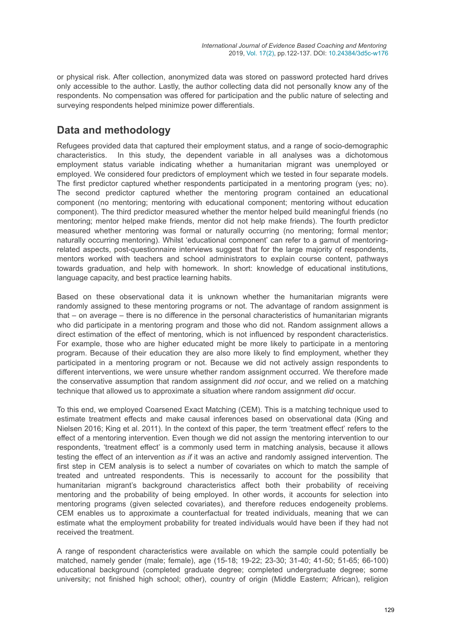or physical risk. After collection, anonymized data was stored on password protected hard drives only accessible to the author. Lastly, the author collecting data did not personally know any of the respondents. No compensation was offered for participation and the public nature of selecting and surveying respondents helped minimize power differentials.

### **Data and methodology**

Refugees provided data that captured their employment status, and a range of socio-demographic characteristics. In this study, the dependent variable in all analyses was a dichotomous employment status variable indicating whether a humanitarian migrant was unemployed or employed. We considered four predictors of employment which we tested in four separate models. The first predictor captured whether respondents participated in a mentoring program (yes; no). The second predictor captured whether the mentoring program contained an educational component (no mentoring; mentoring with educational component; mentoring without education component). The third predictor measured whether the mentor helped build meaningful friends (no mentoring; mentor helped make friends, mentor did not help make friends). The fourth predictor measured whether mentoring was formal or naturally occurring (no mentoring; formal mentor; naturally occurring mentoring). Whilst 'educational component' can refer to a gamut of mentoringrelated aspects, post-questionnaire interviews suggest that for the large majority of respondents, mentors worked with teachers and school administrators to explain course content, pathways towards graduation, and help with homework. In short: knowledge of educational institutions, language capacity, and best practice learning habits.

Based on these observational data it is unknown whether the humanitarian migrants were randomly assigned to these mentoring programs or not. The advantage of random assignment is that – on average – there is no difference in the personal characteristics of humanitarian migrants who did participate in a mentoring program and those who did not. Random assignment allows a direct estimation of the effect of mentoring, which is not influenced by respondent characteristics. For example, those who are higher educated might be more likely to participate in a mentoring program. Because of their education they are also more likely to find employment, whether they participated in a mentoring program or not. Because we did not actively assign respondents to different interventions, we were unsure whether random assignment occurred. We therefore made the conservative assumption that random assignment did *not* occur, and we relied on a matching technique that allowed us to approximate a situation where random assignment *did* occur.

To this end, we employed Coarsened Exact Matching (CEM). This is a matching technique used to estimate treatment effects and make causal inferences based on observational data (King and Nielsen 2016; King et al. 2011). In the context of this paper, the term 'treatment effect' refers to the effect of a mentoring intervention. Even though we did not assign the mentoring intervention to our respondents, 'treatment effect' is a commonly used term in matching analysis, because it allows testing the effect of an intervention *as if* it was an active and randomly assigned intervention. The first step in CEM analysis is to select a number of covariates on which to match the sample of treated and untreated respondents. This is necessarily to account for the possibility that humanitarian migrant's background characteristics affect both their probability of receiving mentoring and the probability of being employed. In other words, it accounts for selection into mentoring programs (given selected covariates), and therefore reduces endogeneity problems. CEM enables us to approximate a counterfactual for treated individuals, meaning that we can estimate what the employment probability for treated individuals would have been if they had not received the treatment.

A range of respondent characteristics were available on which the sample could potentially be matched, namely gender (male; female), age (15-18; 19-22; 23-30; 31-40; 41-50; 51-65; 66-100) educational background (completed graduate degree; completed undergraduate degree; some university; not finished high school; other), country of origin (Middle Eastern; African), religion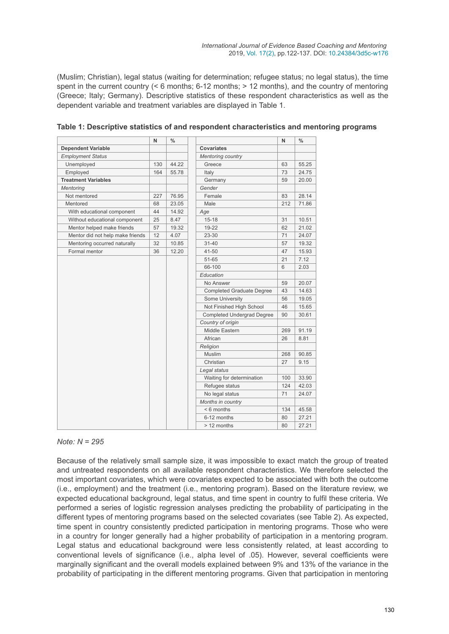(Muslim; Christian), legal status (waiting for determination; refugee status; no legal status), the time spent in the current country  $( $6 \text{ months}$ ;  $6-12 \text{ months}$ ;  $>= 12 \text{ months}$ ). and the country of mentioned$ (Greece; Italy; Germany). Descriptive statistics of these respondent characteristics as well as the dependent variable and treatment variables are displayed in Table 1.

|                                  | N   | $\frac{0}{0}$   |                                   | $\mathsf{N}$ | $\frac{0}{0}$ |
|----------------------------------|-----|-----------------|-----------------------------------|--------------|---------------|
| <b>Dependent Variable</b>        |     |                 | <b>Covariates</b>                 |              |               |
| <b>Employment Status</b>         |     |                 | <b>Mentoring country</b>          |              |               |
| Unemployed                       | 130 | 44.22           | Greece                            | 63           | 55.25         |
| Employed<br>164<br>55.78         |     | Italy           | 73                                | 24.75        |               |
| <b>Treatment Variables</b>       |     |                 | Germany                           | 59           | 20.00         |
| <b>Mentoring</b>                 |     |                 | Gender                            |              |               |
| Not mentored                     | 227 | 76.95           | Female                            | 83           | 28.14         |
| Mentored                         | 68  | 23.05           | Male                              | 212          | 71.86         |
| With educational component       | 44  | 14.92           | Age                               |              |               |
| Without educational component    | 25  | 8.47            | $15 - 18$                         | 31           | 10.51         |
| Mentor helped make friends       | 57  | 19.32           | 19-22                             | 62           | 21.02         |
| Mentor did not help make friends | 12  | 4.07            | 23-30                             | 71           | 24.07         |
| Mentoring occurred naturally     | 32  | 10.85           | $31 - 40$                         | 57           | 19.32         |
| Formal mentor                    | 36  | 12.20           | 41-50                             | 47           | 15.93         |
|                                  |     |                 | 51-65                             | 21           | 7.12          |
|                                  |     |                 | 66-100                            | 6            | 2.03          |
|                                  |     |                 | Education                         |              |               |
|                                  |     |                 | No Answer                         | 59           | 20.07         |
|                                  |     |                 | <b>Completed Graduate Degree</b>  | 43           | 14.63         |
|                                  |     | Some University | 56                                | 19.05        |               |
|                                  |     |                 | Not Finished High School          | 46           | 15.65         |
|                                  |     |                 | <b>Completed Undergrad Degree</b> | 90           | 30.61         |
|                                  |     |                 | Country of origin                 |              |               |
|                                  |     |                 | Middle Eastern                    | 269          | 91.19         |
|                                  |     |                 | African                           | 26           | 8.81          |
|                                  |     |                 | Religion                          |              |               |
|                                  |     |                 | <b>Muslim</b>                     | 268          | 90.85         |
|                                  |     |                 | Christian                         | 27           | 9.15          |
|                                  |     |                 | Legal status                      |              |               |
|                                  |     |                 | Waiting for determination         | 100          | 33.90         |
|                                  |     |                 | Refugee status                    | 124          | 42.03         |
|                                  |     |                 | No legal status                   | 71           | 24.07         |
|                                  |     |                 | Months in country                 |              |               |
|                                  |     |                 | $< 6$ months                      | 134          | 45.58         |
|                                  |     |                 | 6-12 months                       | 80           | 27.21         |
|                                  |     |                 | > 12 months                       | 80           | 27.21         |

#### *Note: N = 295*

Because of the relatively small sample size, it was impossible to exact match the group of treated and untreated respondents on all available respondent characteristics. We therefore selected the most important covariates, which were covariates expected to be associated with both the outcome (i.e., employment) and the treatment (i.e., mentoring program). Based on the literature review, we expected educational background, legal status, and time spent in country to fulfil these criteria. We performed a series of logistic regression analyses predicting the probability of participating in the different types of mentoring programs based on the selected covariates (see Table 2). As expected, time spent in country consistently predicted participation in mentoring programs. Those who were in a country for longer generally had a higher probability of participation in a mentoring program. Legal status and educational background were less consistently related, at least according to conventional levels of significance (i.e., alpha level of .05). However, several coefficients were marginally significant and the overall models explained between 9% and 13% of the variance in the probability of participating in the different mentoring programs. Given that participation in mentoring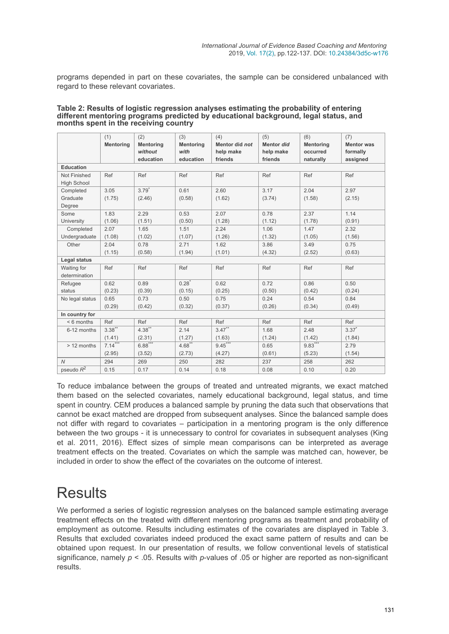programs depended in part on these covariates, the sample can be considered unbalanced with regard to these relevant covariates.

|                         | (1)       | (2)              | (3)              | (4)            | (5)               | (6)              | (7)               |  |  |
|-------------------------|-----------|------------------|------------------|----------------|-------------------|------------------|-------------------|--|--|
|                         | Mentoring | <b>Mentoring</b> | <b>Mentoring</b> | Mentor did not | <b>Mentor</b> did | <b>Mentoring</b> | <b>Mentor was</b> |  |  |
|                         |           | without          | with             | help make      | help make         | occurred         | formally          |  |  |
|                         |           | education        | education        | friends        | friends           | naturally        | assigned          |  |  |
| <b>Education</b>        |           |                  |                  |                |                   |                  |                   |  |  |
| Not Finished            | Ref       | Ref              | Ref              | Ref            | Ref               | Ref              | Ref               |  |  |
| <b>High School</b>      |           |                  |                  |                |                   |                  |                   |  |  |
| Completed               | 3.05      | $3.79*$          | 0.61             | 2.60           | 3.17              | 2.04             | 2.97              |  |  |
| Graduate                | (1.75)    | (2.46)           | (0.58)           | (1.62)         | (3.74)            | (1.58)           | (2.15)            |  |  |
| Degree                  |           |                  |                  |                |                   |                  |                   |  |  |
| Some                    | 1.83      | 2.29             | 0.53             | 2.07           | 0.78              | 2.37             | 1.14              |  |  |
| University              | (1.06)    | (1.51)           | (0.50)           | (1.28)         | (1.12)            | (1.78)           | (0.91)            |  |  |
| Completed               | 2.07      | 1.65             | 1.51             | 2.24           | 1.06              | 1.47             | 2.32              |  |  |
| Undergraduate           | (1.08)    | (1.02)           | (1.07)           | (1.26)         | (1.32)            | (1.05)           | (1.56)            |  |  |
| Other                   | 2.04      | 0.78             | 2.71             | 1.62           | 3.86              | 3.49             | 0.75              |  |  |
|                         | (1.15)    | (0.58)           | (1.94)           | (1.01)         | (4.32)            | (2.52)           | (0.63)            |  |  |
| Legal status            |           |                  |                  |                |                   |                  |                   |  |  |
| Waiting for             | Ref       | Ref              | Ref              | Ref            | Ref               | Ref              | Ref               |  |  |
| determination           |           |                  |                  |                |                   |                  |                   |  |  |
| Refugee                 | 0.62      | 0.89             | $0.28^*$         | 0.62           | 0.72              | 0.86             | 0.50              |  |  |
| status                  | (0.23)    | (0.39)           | (0.15)           | (0.25)         | (0.50)            | (0.42)           | (0.24)            |  |  |
| No legal status         | 0.65      | 0.73             | 0.50             | 0.75           | 0.24              | 0.54             | 0.84              |  |  |
|                         | (0.29)    | (0.42)           | (0.32)           | (0.37)         | (0.26)            | (0.34)           | (0.49)            |  |  |
| In country for          |           |                  |                  |                |                   |                  |                   |  |  |
| $< 6$ months            | Ref       | Ref              | Ref              | Ref            | Ref               | Ref              | Ref               |  |  |
| 6-12 months             | $3.38***$ | $4.38***$        | 2.14             | $3.47***$      | 1.68              | 2.48             | $3.37^{*}$        |  |  |
|                         | (1.41)    | (2.31)           | (1.27)           | (1.63)         | (1.24)            | (1.42)           | (1.84)            |  |  |
| > 12 months             | $7.14***$ | $6.88***$        | $4.68***$        | $9.45***$      | 0.65              | $9.83***$        | 2.79              |  |  |
|                         | (2.95)    | (3.52)           | (2.73)           | (4.27)         | (0.61)            | (5.23)           | (1.54)            |  |  |
| $\overline{N}$          | 294       | 269              | 250              | 282            | 237               | 258              | 262               |  |  |
| pseudo $\overline{R^2}$ | 0.15      | 0.17             | 0.14             | 0.18           | 0.08              | 0.10             | 0.20              |  |  |

#### **Table 2: Results of logistic regression analyses estimating the probability of entering different mentoring programs predicted by educational background, legal status, and months spent in the receiving country**

To reduce imbalance between the groups of treated and untreated migrants, we exact matched them based on the selected covariates, namely educational background, legal status, and time spent in country. CEM produces a balanced sample by pruning the data such that observations that cannot be exact matched are dropped from subsequent analyses. Since the balanced sample does not differ with regard to covariates – participation in a mentoring program is the only difference between the two groups - it is unnecessary to control for covariates in subsequent analyses (King et al. 2011, 2016). Effect sizes of simple mean comparisons can be interpreted as average treatment effects on the treated. Covariates on which the sample was matched can, however, be included in order to show the effect of the covariates on the outcome of interest.

# **Results**

We performed a series of logistic regression analyses on the balanced sample estimating average treatment effects on the treated with different mentoring programs as treatment and probability of employment as outcome. Results including estimates of the covariates are displayed in Table 3. Results that excluded covariates indeed produced the exact same pattern of results and can be obtained upon request. In our presentation of results, we follow conventional levels of statistical significance, namely *p* < .05. Results with *p*-values of .05 or higher are reported as non-significant results.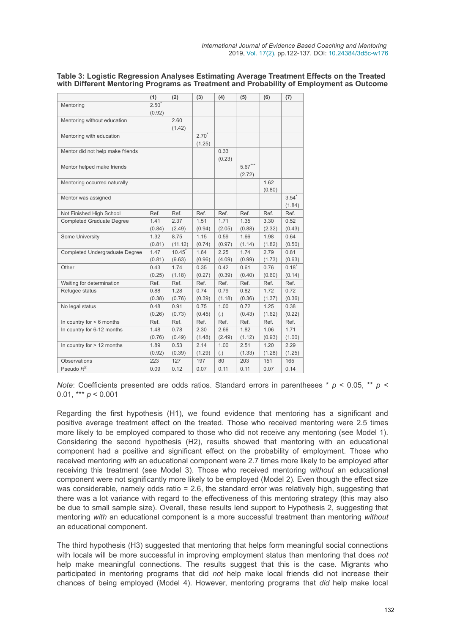#### **Table 3: Logistic Regression Analyses Estimating Average Treatment Effects on the Treated with Different Mentoring Programs as Treatment and Probability of Employment as Outcome**

|                                       | (1)      | (2)     | (3)      | (4)    | (5)       | (6)    | (7)      |
|---------------------------------------|----------|---------|----------|--------|-----------|--------|----------|
| Mentoring                             | $2.50^*$ |         |          |        |           |        |          |
|                                       | (0.92)   |         |          |        |           |        |          |
| Mentoring without education           |          | 2.60    |          |        |           |        |          |
|                                       |          | (1.42)  |          |        |           |        |          |
| Mentoring with education              |          |         | $2.70^*$ |        |           |        |          |
|                                       |          |         | (1.25)   |        |           |        |          |
| Mentor did not help make friends      |          |         |          | 0.33   |           |        |          |
|                                       |          |         |          | (0.23) |           |        |          |
| Mentor helped make friends            |          |         |          |        | $5.67***$ |        |          |
|                                       |          |         |          |        | (2.72)    |        |          |
| Mentoring occurred naturally          |          |         |          |        |           | 1.62   |          |
|                                       |          |         |          |        |           | (0.80) |          |
| Mentor was assigned                   |          |         |          |        |           |        | $3.54*$  |
|                                       |          |         |          |        |           |        | (1.84)   |
| Not Finished High School              | Ref.     | Ref.    | Ref.     | Ref.   | Ref.      | Ref.   | Ref.     |
| <b>Completed Graduate Degree</b>      | 1.41     | 2.37    | 1.51     | 1.71   | 1.35      | 3.30   | 0.52     |
|                                       | (0.84)   | (2.49)  | (0.94)   | (2.05) | (0.88)    | (2.32) | (0.43)   |
| Some University                       | 1.32     | 8.75    | 1.15     | 0.59   | 1.66      | 1.98   | 0.64     |
|                                       | (0.81)   | (11.12) | (0.74)   | (0.97) | (1.14)    | (1.82) | (0.50)   |
| <b>Completed Undergraduate Degree</b> | 1.47     | 10.45   | 1.64     | 2.25   | 1.74      | 2.79   | 0.81     |
|                                       | (0.81)   | (9.63)  | (0.96)   | (4.09) | (0.99)    | (1.73) | (0.63)   |
| Other                                 | 0.43     | 1.74    | 0.35     | 0.42   | 0.61      | 0.76   | $0.18^*$ |
|                                       | (0.25)   | (1.18)  | (0.27)   | (0.39) | (0.40)    | (0.60) | (0.14)   |
| Waiting for determination             | Ref.     | Ref.    | Ref.     | Ref.   | Ref.      | Ref.   | Ref.     |
| Refugee status                        | 0.88     | 1.28    | 0.74     | 0.79   | 0.82      | 1.72   | 0.72     |
|                                       | (0.38)   | (0.76)  | (0.39)   | (1.18) | (0.36)    | (1.37) | (0.36)   |
| No legal status                       | 0.48     | 0.91    | 0.75     | 1.00   | 0.72      | 1.25   | 0.38     |
|                                       | (0.26)   | (0.73)  | (0.45)   | (.)    | (0.43)    | (1.62) | (0.22)   |
| In country for $< 6$ months           | Ref.     | Ref.    | Ref.     | Ref.   | Ref.      | Ref.   | Ref.     |
| In country for 6-12 months            | 1.48     | 0.78    | 2.30     | 2.66   | 1.82      | 1.06   | 1.71     |
|                                       | (0.76)   | (0.49)  | (1.48)   | (2.49) | (1.12)    | (0.93) | (1.00)   |
| In country for > 12 months            | 1.89     | 0.53    | 2.14     | 1.00   | 2.51      | 1.20   | 2.29     |
|                                       | (0.92)   | (0.39)  | (1.29)   | (.)    | (1.33)    | (1.28) | (1.25)   |
| <b>Observations</b>                   | 223      | 127     | 197      | 80     | 203       | 151    | 165      |
| Pseudo $R^2$                          | 0.09     | 0.12    | 0.07     | 0.11   | 0.11      | 0.07   | 0.14     |

*Note*: Coefficients presented are odds ratios. Standard errors in parentheses \* *p* < 0.05, \*\* *p* < 0.01, \*\*\* *p* < 0.001

Regarding the first hypothesis (H1), we found evidence that mentoring has a significant and positive average treatment effect on the treated. Those who received mentoring were 2.5 times more likely to be employed compared to those who did not receive any mentoring (see Model 1). Considering the second hypothesis (H2), results showed that mentoring with an educational component had a positive and significant effect on the probability of employment. Those who received mentoring *with* an educational component were 2.7 times more likely to be employed after receiving this treatment (see Model 3). Those who received mentoring *without* an educational component were not significantly more likely to be employed (Model 2). Even though the effect size was considerable, namely odds ratio = 2.6, the standard error was relatively high, suggesting that there was a lot variance with regard to the effectiveness of this mentoring strategy (this may also be due to small sample size). Overall, these results lend support to Hypothesis 2, suggesting that mentoring *with* an educational component is a more successful treatment than mentoring *without* an educational component.

The third hypothesis (H3) suggested that mentoring that helps form meaningful social connections with locals will be more successful in improving employment status than mentoring that does *not* help make meaningful connections. The results suggest that this is the case. Migrants who participated in mentoring programs that did *not* help make local friends did not increase their chances of being employed (Model 4). However, mentoring programs that *did* help make local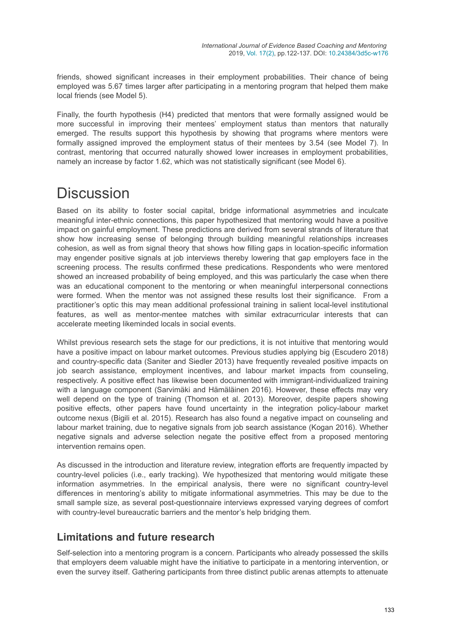friends, showed significant increases in their employment probabilities. Their chance of being employed was 5.67 times larger after participating in a mentoring program that helped them make local friends (see Model 5).

Finally, the fourth hypothesis (H4) predicted that mentors that were formally assigned would be more successful in improving their mentees' employment status than mentors that naturally emerged. The results support this hypothesis by showing that programs where mentors were formally assigned improved the employment status of their mentees by 3.54 (see Model 7). In contrast, mentoring that occurred naturally showed lower increases in employment probabilities, namely an increase by factor 1.62, which was not statistically significant (see Model 6).

## **Discussion**

Based on its ability to foster social capital, bridge informational asymmetries and inculcate meaningful inter-ethnic connections, this paper hypothesized that mentoring would have a positive impact on gainful employment. These predictions are derived from several strands of literature that show how increasing sense of belonging through building meaningful relationships increases cohesion, as well as from signal theory that shows how filling gaps in location-specific information may engender positive signals at job interviews thereby lowering that gap employers face in the screening process. The results confirmed these predications. Respondents who were mentored showed an increased probability of being employed, and this was particularly the case when there was an educational component to the mentoring or when meaningful interpersonal connections were formed. When the mentor was not assigned these results lost their significance. From a practitioner's optic this may mean additional professional training in salient local-level institutional features, as well as mentor-mentee matches with similar extracurricular interests that can accelerate meeting likeminded locals in social events.

Whilst previous research sets the stage for our predictions, it is not intuitive that mentoring would have a positive impact on labour market outcomes. Previous studies applying big (Escudero 2018) and country-specific data (Saniter and Siedler 2013) have frequently revealed positive impacts on job search assistance, employment incentives, and labour market impacts from counseling, respectively. A positive effect has likewise been documented with immigrant-individualized training with a language component (Sarvimäki and Hämäläinen 2016). However, these effects may very well depend on the type of training (Thomson et al. 2013). Moreover, despite papers showing positive effects, other papers have found uncertainty in the integration policy-labour market outcome nexus (Bigili et al. 2015). Research has also found a negative impact on counseling and labour market training, due to negative signals from job search assistance (Kogan 2016). Whether negative signals and adverse selection negate the positive effect from a proposed mentoring intervention remains open.

As discussed in the introduction and literature review, integration efforts are frequently impacted by country-level policies (i.e., early tracking). We hypothesized that mentoring would mitigate these information asymmetries. In the empirical analysis, there were no significant country-level differences in mentoring's ability to mitigate informational asymmetries. This may be due to the small sample size, as several post-questionnaire interviews expressed varying degrees of comfort with country-level bureaucratic barriers and the mentor's help bridging them.

### **Limitations and future research**

Self-selection into a mentoring program is a concern. Participants who already possessed the skills that employers deem valuable might have the initiative to participate in a mentoring intervention, or even the survey itself. Gathering participants from three distinct public arenas attempts to attenuate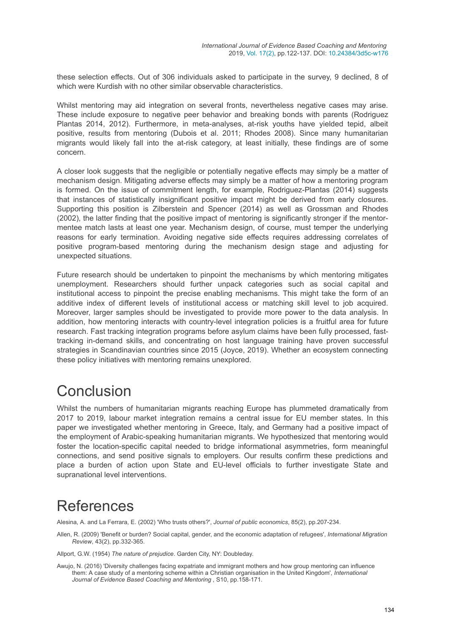these selection effects. Out of 306 individuals asked to participate in the survey, 9 declined, 8 of which were Kurdish with no other similar observable characteristics.

Whilst mentoring may aid integration on several fronts, nevertheless negative cases may arise. These include exposure to negative peer behavior and breaking bonds with parents (Rodriguez Plantas 2014, 2012). Furthermore, in meta-analyses, at-risk youths have yielded tepid, albeit positive, results from mentoring (Dubois et al. 2011; Rhodes 2008). Since many humanitarian migrants would likely fall into the at-risk category, at least initially, these findings are of some concern.

A closer look suggests that the negligible or potentially negative effects may simply be a matter of mechanism design. Mitigating adverse effects may simply be a matter of how a mentoring program is formed. On the issue of commitment length, for example, Rodriguez-Plantas (2014) suggests that instances of statistically insignificant positive impact might be derived from early closures. Supporting this position is Zilberstein and Spencer (2014) as well as Grossman and Rhodes (2002), the latter finding that the positive impact of mentoring is significantly stronger if the mentormentee match lasts at least one year. Mechanism design, of course, must temper the underlying reasons for early termination. Avoiding negative side effects requires addressing correlates of positive program-based mentoring during the mechanism design stage and adjusting for unexpected situations.

Future research should be undertaken to pinpoint the mechanisms by which mentoring mitigates unemployment. Researchers should further unpack categories such as social capital and institutional access to pinpoint the precise enabling mechanisms. This might take the form of an additive index of different levels of institutional access or matching skill level to job acquired. Moreover, larger samples should be investigated to provide more power to the data analysis. In addition, how mentoring interacts with country-level integration policies is a fruitful area for future research. Fast tracking integration programs before asylum claims have been fully processed, fasttracking in-demand skills, and concentrating on host language training have proven successful strategies in Scandinavian countries since 2015 (Joyce, 2019). Whether an ecosystem connecting these policy initiatives with mentoring remains unexplored.

## Conclusion

Whilst the numbers of humanitarian migrants reaching Europe has plummeted dramatically from 2017 to 2019, labour market integration remains a central issue for EU member states. In this paper we investigated whether mentoring in Greece, Italy, and Germany had a positive impact of the employment of Arabic-speaking humanitarian migrants. We hypothesized that mentoring would foster the location-specific capital needed to bridge informational asymmetries, form meaningful connections, and send positive signals to employers. Our results confirm these predictions and place a burden of action upon State and EU-level officials to further investigate State and supranational level interventions.

## References

Alesina, A. and La Ferrara, E. (2002) 'Who trusts others?', *Journal of public economics*, 85(2), pp.207-234.

Allen, R. (2009) 'Benefit or burden? Social capital, gender, and the economic adaptation of refugees', *International Migration Review*, 43(2), pp.332-365.

Allport, G.W. (1954) *The nature of prejudice*. Garden City, NY: Doubleday.

Awujo, N. (2016) 'Diversity challenges facing expatriate and immigrant mothers and how group mentoring can influence them: A case study of a mentoring scheme within a Christian organisation in the United Kingdom', *International Journal of Evidence Based Coaching and Mentoring* , S10, pp.158-171.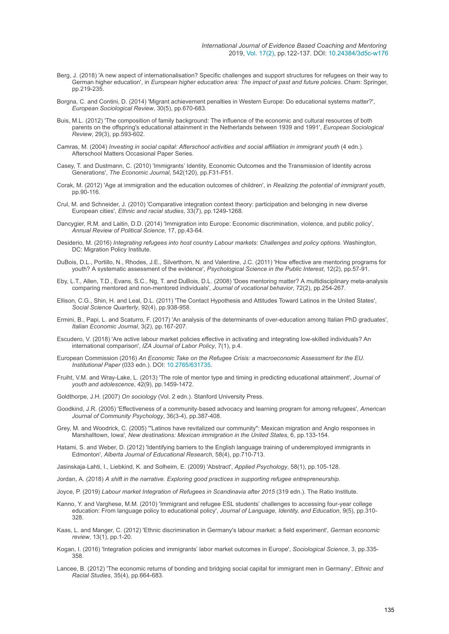- Berg, J. (2018) 'A new aspect of internationalisation? Specific challenges and support structures for refugees on their way to German higher education', in *European higher education area: The impact of past and future policies*. Cham: Springer, pp.219-235.
- Borgna, C. and Contini, D. (2014) 'Migrant achievement penalties in Western Europe: Do educational systems matter?', *European Sociological Review*, 30(5), pp.670-683.
- Buis, M.L. (2012) 'The composition of family background: The influence of the economic and cultural resources of both parents on the offspring's educational attainment in the Netherlands between 1939 and 1991', *European Sociological Review*, 29(3), pp.593-602.
- Camras, M. (2004) *Investing in social capital: Afterschool activities and social affiliation in immigrant youth* (4 edn.). Afterschool Matters Occasional Paper Series.
- Casey, T. and Dustmann, C. (2010) 'Immigrants' Identity, Economic Outcomes and the Transmission of Identity across Generations', *The Economic Journal*, 542(120), pp.F31-F51.
- Corak, M. (2012) 'Age at immigration and the education outcomes of children', in *Realizing the potential of immigrant youth*, pp.90-116.
- Crul, M. and Schneider, J. (2010) 'Comparative integration context theory: participation and belonging in new diverse European cities', *Ethnic and racial studies*, 33(7), pp.1249-1268.
- Dancygier, R.M. and Laitin, D.D. (2014) 'Immigration into Europe: Economic discrimination, violence, and public policy', *Annual Review of Political Science*, 17, pp.43-64.
- Desiderio, M. (2016) *Integrating refugees into host country Labour markets: Challenges and policy options*. Washington, DC: Migration Policy Institute.
- DuBois, D.L., Portillo, N., Rhodes, J.E., Silverthorn, N. and Valentine, J.C. (2011) 'How effective are mentoring programs for youth? A systematic assessment of the evidence', *Psychological Science in the Public Interest*, 12(2), pp.57-91.
- Eby, L.T., Allen, T.D., Evans, S.C., Ng, T. and DuBois, D.L. (2008) 'Does mentoring matter? A multidisciplinary meta-analysis comparing mentored and non-mentored individuals', *Journal of vocational behavior*, 72(2), pp.254-267.
- Ellison, C.G., Shin, H. and Leal, D.L. (2011) 'The Contact Hypothesis and Attitudes Toward Latinos in the United States', *Social Science Quarterly*, 92(4), pp.938-958.
- Ermini, B., Papi, L. and Scaturro, F. (2017) 'An analysis of the determinants of over-education among Italian PhD graduates', *Italian Economic Journal*, 3(2), pp.167-207.
- Escudero, V. (2018) 'Are active labour market policies effective in activating and integrating low-skilled individuals? An international comparison', *IZA Journal of Labor Policy*, 7(1), p.4.
- European Commission (2016) *An Economic Take on the Refugee Crisis: a macroeconomic Assessment for the EU. Institutional Paper* (033 edn.). DOI: [10.2765/631735](https://doi.org/10.2765/631735).
- Fruiht, V.M. and Wray-Lake, L. (2013) 'The role of mentor type and timing in predicting educational attainment', *Journal of youth and adolescence*, 42(9), pp.1459-1472.
- Goldthorpe, J.H. (2007) *On sociology* (Vol. 2 edn.). Stanford University Press.
- Goodkind, J.R. (2005) 'Effectiveness of a community‐based advocacy and learning program for among refugees', *American Journal of Community Psychology*, 36(3-4), pp.387-408.
- Grey, M. and Woodrick, C. (2005) '"Latinos have revitalized our community": Mexican migration and Anglo responses in Marshalltown, Iowa', *New destinations: Mexican immigration in the United States*, 6, pp.133-154.
- Hatami, S. and Weber, D. (2012) 'Identifying barriers to the English language training of underemployed immigrants in Edmonton', *Alberta Journal of Educational Research*, 58(4), pp.710-713.
- Jasinskaja‐Lahti, I., Liebkind, K. and Solheim, E. (2009) 'Abstract', *Applied Psychology*, 58(1), pp.105-128.
- Jordan, A. (2018) *A shift in the narrative. Exploring good practices in supporting refugee entrepreneurship*.
- Joyce, P. (2019) *Labour market Integration of Refugees in Scandinavia after 2015* (319 edn.). The Ratio Institute.
- Kanno, Y. and Varghese, M.M. (2010) 'Immigrant and refugee ESL students' challenges to accessing four-year college education: From language policy to educational policy', *Journal of Language, Identity, and Education*, 9(5), pp.310- 328.
- Kaas, L. and Manger, C. (2012) 'Ethnic discrimination in Germany's labour market: a field experiment', *German economic review*, 13(1), pp.1-20.
- Kogan, I. (2016) 'Integration policies and immigrants' labor market outcomes in Europe', *Sociological Science*, 3, pp.335- 358.
- Lancee, B. (2012) 'The economic returns of bonding and bridging social capital for immigrant men in Germany', *Ethnic and Racial Studies*, 35(4), pp.664-683.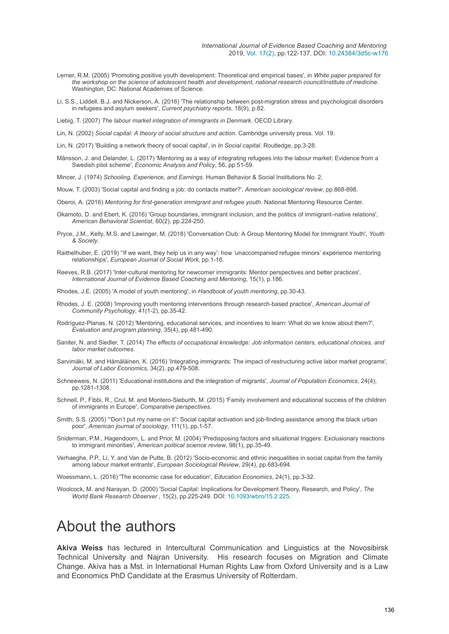- Lerner, R.M. (2005) 'Promoting positive youth development: Theoretical and empirical bases', in *White paper prepared for the workshop on the science of adolescent health and development, national research council/institute of medicine*. Washington, DC: National Academies of Science.
- Li, S.S., Liddell, B.J. and Nickerson, A. (2016) 'The relationship between post-migration stress and psychological disorders in refugees and asylum seekers', *Current psychiatry reports*, 18(9), p.82.

Liebig, T. (2007) *The labour market integration of immigrants in Denmark*. OECD Library.

Lin, N. (2002) *Social capital: A theory of social structure and action*. Cambridge university press. Vol. 19.

- Lin, N. (2017) 'Building a network theory of social capital', in *In Social capital*. Routledge, pp.3-28.
- Månsson, J. and Delander, L. (2017) 'Mentoring as a way of integrating refugees into the labour market: Evidence from a Swedish pilot scheme', *Economic Analysis and Policy*, 56, pp.51-59.

Mincer, J. (1974) *Schooling, Experience, and Earnings*. Human Behavior & Social Institutions No. 2.

Mouw, T. (2003) 'Social capital and finding a job: do contacts matter?', *American sociological review*, pp.868-898.

Oberoi, A. (2016) *Mentoring for first-generation immigrant and refugee youth*. National Mentoring Resource Center.

- Okamoto, D. and Ebert, K. (2016) 'Group boundaries, immigrant inclusion, and the politics of immigrant–native relations', *American Behavioral Scientist*, 60(2), pp.224-250.
- Pryce, J.M., Kelly, M.S. and Lawinger, M. (2018) 'Conversation Club: A Group Mentoring Model for Immigrant Youth', *Youth & Society*.
- Raithelhuber, E. (2019) ''If we want, they help us in any way': how 'unaccompanied refugee minors' experience mentoring relationships', *European Journal of Social Work*, pp.1-16.
- Reeves, R.B. (2017) 'Inter-cultural mentoring for newcomer immigrants: Mentor perspectives and better practices', *International Journal of Evidence Based Coaching and Mentoring*, 15(1), p.186.

Rhodes, J.E. (2005) 'A model of youth mentoring', in *Handbook of youth mentoring*, pp.30-43.

- Rhodes, J. E. (2008) 'Improving youth mentoring interventions through research‐based practice', *American Journal of Community Psychology*, 41(1-2), pp.35-42.
- Rodríguez-Planas, N. (2012) 'Mentoring, educational services, and incentives to learn: What do we know about them?', *Evaluation and program planning*, 35(4), pp.481-490.
- Saniter, N. and Siedler, T. (2014) *The effects of occupational knowledge: Job information centers, educational choices, and labor market outcomes*.
- Sarvimäki, M. and Hämäläinen, K. (2016) 'Integrating immigrants: The impact of restructuring active labor market programs', *Journal of Labor Economics*, 34(2), pp.479-508.
- Schneeweis, N. (2011) 'Educational institutions and the integration of migrants', *Journal of Population Economics*, 24(4), pp.1281-1308.
- Schnell, P., Fibbi, R., Crul, M. and Montero-Sieburth, M. (2015) 'Family involvement and educational success of the children of immigrants in Europe', *Comparative perspectives*.
- Smith, S.S. (2005) '"Don't put my name on it": Social capital activation and job-finding assistance among the black urban poor', *American journal of sociology*, 111(1), pp.1-57.
- Sniderman, P.M., Hagendoorn, L. and Prior, M. (2004) 'Predisposing factors and situational triggers: Exclusionary reactions to immigrant minorities', *American political science review*, 98(1), pp.35-49.
- Verhaeghe, P.P., Li, Y. and Van de Putte, B. (2012) 'Socio-economic and ethnic inequalities in social capital from the family among labour market entrants', *European Sociological Review*, 29(4), pp.683-694.

Woessmann, L. (2016) 'The economic case for education', *Education Economics*, 24(1), pp.3-32.

Woolcock, M. and Narayan, D. (2000) 'Social Capital: Implications for Development Theory, Research, and Policy', *The World Bank Research Observer* , 15(2), pp.225-249. DOI: [10.1093/wbro/15.2.225](https://doi.org/10.1093/wbro/15.2.225).

## About the authors

**Akiva Weiss** has lectured in Intercultural Communication and Linguistics at the Novosibirsk Technical University and Najran University. His research focuses on Migration and Climate Change. Akiva has a Mst. in International Human Rights Law from Oxford University and is a Law and Economics PhD Candidate at the Erasmus University of Rotterdam.